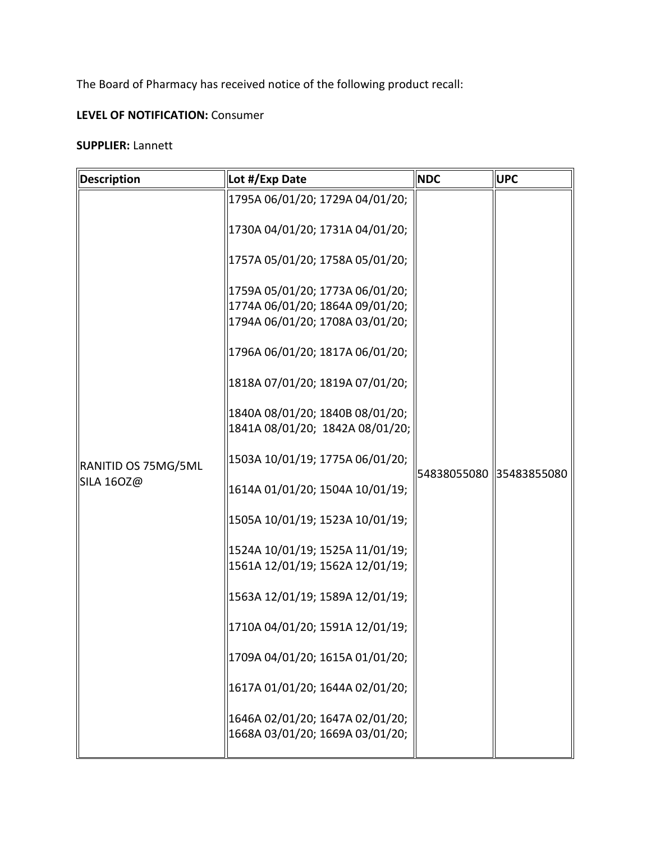The Board of Pharmacy has received notice of the following product recall:

## **LEVEL OF NOTIFICATION:** Consumer

## **SUPPLIER:** Lannett

| Description                              | Lot #/Exp Date                                                     | <b>NDC</b>              | <b>UPC</b> |
|------------------------------------------|--------------------------------------------------------------------|-------------------------|------------|
|                                          | 1795A 06/01/20; 1729A 04/01/20;                                    | 54838055080 35483855080 |            |
| RANITID OS 75MG/5ML<br><b>SILA 160Z@</b> | 1730A 04/01/20; 1731A 04/01/20;                                    |                         |            |
|                                          | 1757A 05/01/20; 1758A 05/01/20;                                    |                         |            |
|                                          | 1759A 05/01/20; 1773A 06/01/20;<br>1774A 06/01/20; 1864A 09/01/20; |                         |            |
|                                          | 1794A 06/01/20; 1708A 03/01/20;                                    |                         |            |
|                                          | 1796A 06/01/20; 1817A 06/01/20;                                    |                         |            |
|                                          | 1818A 07/01/20; 1819A 07/01/20;                                    |                         |            |
|                                          | 1840A 08/01/20; 1840B 08/01/20;<br>1841A 08/01/20; 1842A 08/01/20; |                         |            |
|                                          | 1503A 10/01/19; 1775A 06/01/20;                                    |                         |            |
|                                          | 1614A 01/01/20; 1504A 10/01/19;                                    |                         |            |
|                                          | 1505A 10/01/19; 1523A 10/01/19;                                    |                         |            |
|                                          | 1524A 10/01/19; 1525A 11/01/19;<br>1561A 12/01/19; 1562A 12/01/19; |                         |            |
|                                          | 1563A 12/01/19; 1589A 12/01/19;                                    |                         |            |
|                                          | 1710A 04/01/20; 1591A 12/01/19;                                    |                         |            |
|                                          | 1709A 04/01/20; 1615A 01/01/20;                                    |                         |            |
|                                          | 1617A 01/01/20; 1644A 02/01/20;                                    |                         |            |
|                                          | 1646A 02/01/20; 1647A 02/01/20;<br>1668A 03/01/20; 1669A 03/01/20; |                         |            |
|                                          |                                                                    |                         |            |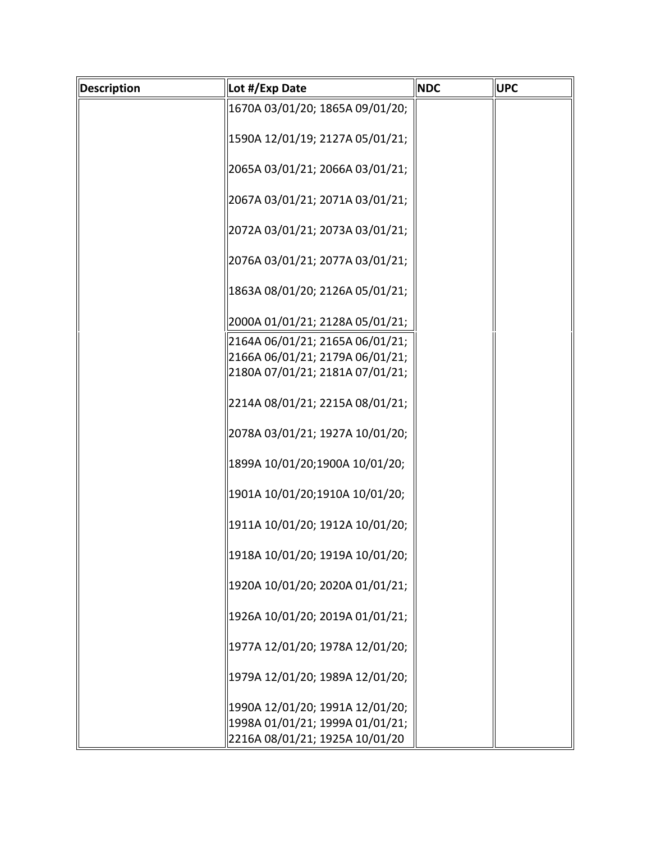| Description | Lot #/Exp Date                  | <b>NDC</b> | <b>UPC</b> |
|-------------|---------------------------------|------------|------------|
|             | 1670A 03/01/20; 1865A 09/01/20; |            |            |
|             | 1590A 12/01/19; 2127A 05/01/21; |            |            |
|             | 2065A 03/01/21; 2066A 03/01/21; |            |            |
|             | 2067A 03/01/21; 2071A 03/01/21; |            |            |
|             | 2072A 03/01/21; 2073A 03/01/21; |            |            |
|             | 2076A 03/01/21; 2077A 03/01/21; |            |            |
|             | 1863A 08/01/20; 2126A 05/01/21; |            |            |
|             | 2000A 01/01/21; 2128A 05/01/21; |            |            |
|             | 2164A 06/01/21; 2165A 06/01/21; |            |            |
|             | 2166A 06/01/21; 2179A 06/01/21; |            |            |
|             | 2180A 07/01/21; 2181A 07/01/21; |            |            |
|             | 2214A 08/01/21; 2215A 08/01/21; |            |            |
|             | 2078A 03/01/21; 1927A 10/01/20; |            |            |
|             | 1899A 10/01/20;1900A 10/01/20;  |            |            |
|             | 1901A 10/01/20;1910A 10/01/20;  |            |            |
|             | 1911A 10/01/20; 1912A 10/01/20; |            |            |
|             | 1918A 10/01/20; 1919A 10/01/20; |            |            |
|             | 1920A 10/01/20; 2020A 01/01/21; |            |            |
|             | 1926A 10/01/20; 2019A 01/01/21; |            |            |
|             | 1977A 12/01/20; 1978A 12/01/20; |            |            |
|             | 1979A 12/01/20; 1989A 12/01/20; |            |            |
|             | 1990A 12/01/20; 1991A 12/01/20; |            |            |
|             | 1998A 01/01/21; 1999A 01/01/21; |            |            |
|             | 2216A 08/01/21; 1925A 10/01/20  |            |            |